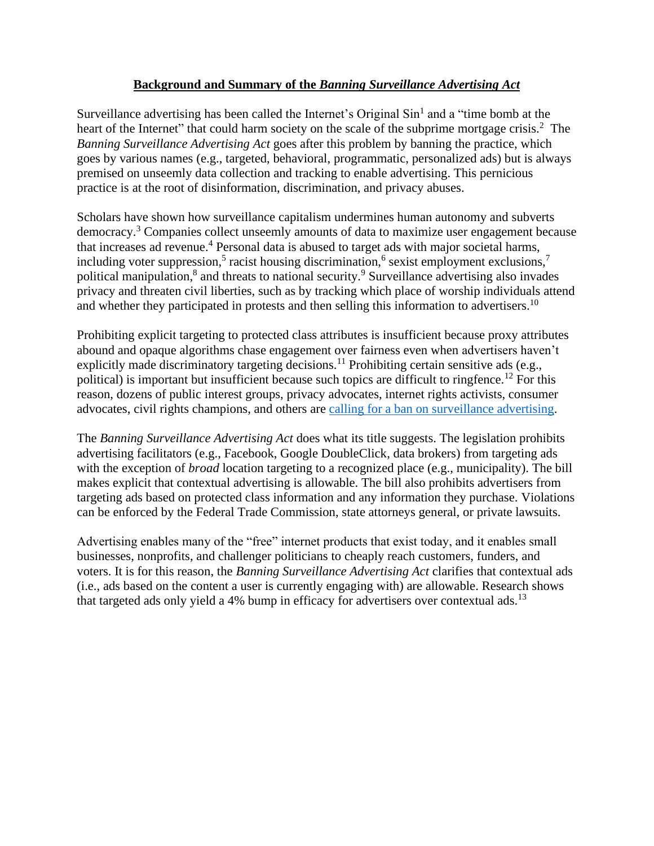## **Background and Summary of the** *Banning Surveillance Advertising Act*

Surveillance advertising has been called the Internet's Original  $Sin<sup>1</sup>$  and a "time bomb at the heart of the Internet" that could harm society on the scale of the subprime mortgage crisis.<sup>2</sup> The *Banning Surveillance Advertising Act* goes after this problem by banning the practice, which goes by various names (e.g., targeted, behavioral, programmatic, personalized ads) but is always premised on unseemly data collection and tracking to enable advertising. This pernicious practice is at the root of disinformation, discrimination, and privacy abuses.

Scholars have shown how surveillance capitalism undermines human autonomy and subverts democracy.<sup>3</sup> Companies collect unseemly amounts of data to maximize user engagement because that increases ad revenue.<sup>4</sup> Personal data is abused to target ads with major societal harms, including voter suppression,<sup>5</sup> racist housing discrimination,<sup>6</sup> sexist employment exclusions,<sup>7</sup> political manipulation,<sup>8</sup> and threats to national security.<sup>9</sup> Surveillance advertising also invades privacy and threaten civil liberties, such as by tracking which place of worship individuals attend and whether they participated in protests and then selling this information to advertisers.<sup>10</sup>

Prohibiting explicit targeting to protected class attributes is insufficient because proxy attributes abound and opaque algorithms chase engagement over fairness even when advertisers haven't explicitly made discriminatory targeting decisions.<sup>11</sup> Prohibiting certain sensitive ads (e.g., political) is important but insufficient because such topics are difficult to ringfence.<sup>12</sup> For this reason, dozens of public interest groups, privacy advocates, internet rights activists, consumer advocates, civil rights champions, and others are [calling for a ban on surveillance advertising.](https://www.bansurveillanceadvertising.com/)

The *Banning Surveillance Advertising Act* does what its title suggests. The legislation prohibits advertising facilitators (e.g., Facebook, Google DoubleClick, data brokers) from targeting ads with the exception of *broad* location targeting to a recognized place (e.g., municipality). The bill makes explicit that contextual advertising is allowable. The bill also prohibits advertisers from targeting ads based on protected class information and any information they purchase. Violations can be enforced by the Federal Trade Commission, state attorneys general, or private lawsuits.

Advertising enables many of the "free" internet products that exist today, and it enables small businesses, nonprofits, and challenger politicians to cheaply reach customers, funders, and voters. It is for this reason, the *Banning Surveillance Advertising Act* clarifies that contextual ads (i.e., ads based on the content a user is currently engaging with) are allowable. Research shows that targeted ads only yield a 4% bump in efficacy for advertisers over contextual ads.<sup>13</sup>